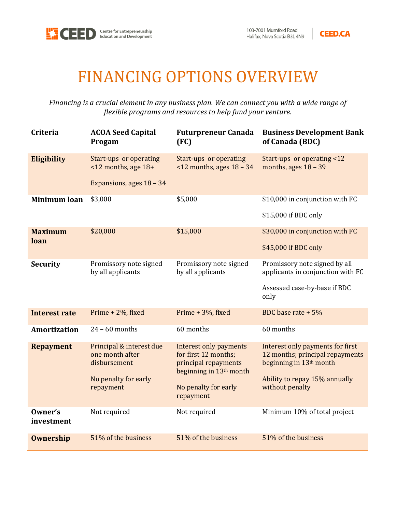



## FINANCING OPTIONS OVERVIEW

*Financing is a crucial element in any business plan. We can connect you with a wide range of flexible programs and resources to help fund your venture.*

| <b>Criteria</b>        | <b>ACOA Seed Capital</b><br>Progam                                                               | <b>Futurpreneur Canada</b><br>(FC)                                                                                                                 | <b>Business Development Bank</b><br>of Canada (BDC)                                                                                                            |
|------------------------|--------------------------------------------------------------------------------------------------|----------------------------------------------------------------------------------------------------------------------------------------------------|----------------------------------------------------------------------------------------------------------------------------------------------------------------|
| <b>Eligibility</b>     | Start-ups or operating<br>$\leq$ 12 months, age 18+<br>Expansions, ages 18 - 34                  | Start-ups or operating<br>$\leq$ 12 months, ages 18 - 34                                                                                           | Start-ups or operating <12<br>months, ages $18 - 39$                                                                                                           |
| <b>Minimum loan</b>    | \$3,000                                                                                          | \$5,000                                                                                                                                            | \$10,000 in conjunction with FC<br>\$15,000 if BDC only                                                                                                        |
| <b>Maximum</b><br>loan | \$20,000                                                                                         | \$15,000                                                                                                                                           | \$30,000 in conjunction with FC<br>\$45,000 if BDC only                                                                                                        |
| <b>Security</b>        | Promissory note signed<br>by all applicants                                                      | Promissory note signed<br>by all applicants                                                                                                        | Promissory note signed by all<br>applicants in conjunction with FC<br>Assessed case-by-base if BDC<br>only                                                     |
| <b>Interest rate</b>   | Prime + 2%, fixed                                                                                | Prime + 3%, fixed                                                                                                                                  | BDC base rate + 5%                                                                                                                                             |
| <b>Amortization</b>    | $24 - 60$ months                                                                                 | 60 months                                                                                                                                          | 60 months                                                                                                                                                      |
| <b>Repayment</b>       | Principal & interest due<br>one month after<br>disbursement<br>No penalty for early<br>repayment | Interest only payments<br>for first 12 months;<br>principal repayments<br>beginning in 13 <sup>th</sup> month<br>No penalty for early<br>repayment | Interest only payments for first<br>12 months; principal repayments<br>beginning in 13 <sup>th</sup> month<br>Ability to repay 15% annually<br>without penalty |
| Owner's<br>investment  | Not required                                                                                     | Not required                                                                                                                                       | Minimum 10% of total project                                                                                                                                   |
| <b>Ownership</b>       | 51% of the business                                                                              | 51% of the business                                                                                                                                | 51% of the business                                                                                                                                            |